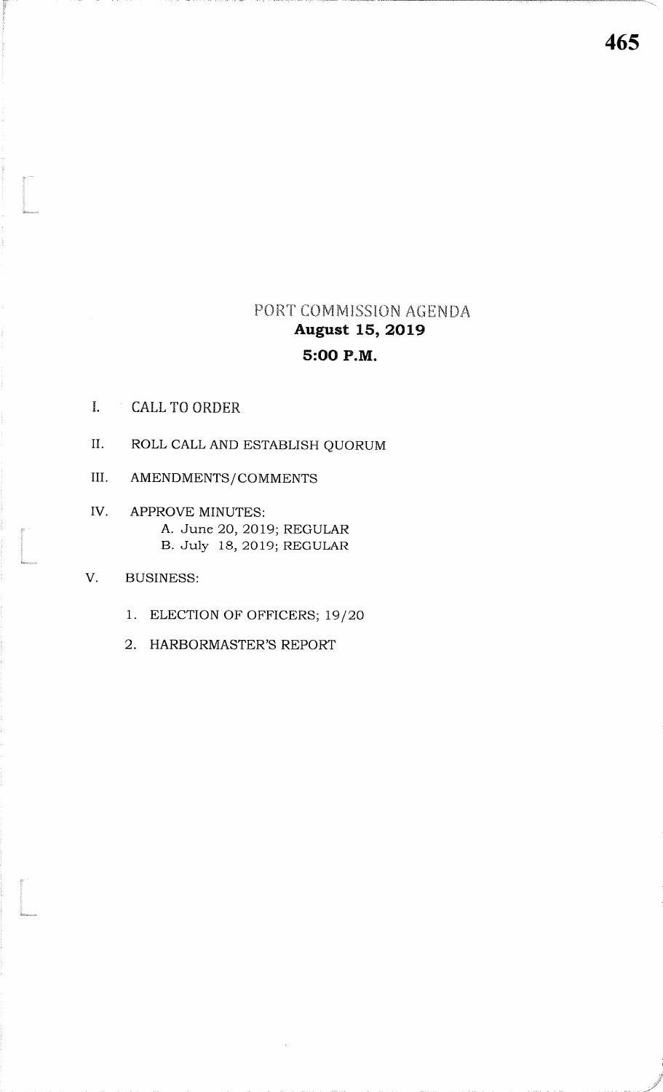### PORT COMMISSION AGENDA **August 15, 2019** 5:00 P.M.

- $\mathbf{I}$ ,  $\mathbf{I}$ **CALL TO ORDER**
- $II.$ ROLL CALL AND ESTABLISH QUORUM
- III. AMENDMENTS/COMMENTS
- IV. APPROVE MINUTES: A. June 20, 2019; REGULAR B. July 18, 2019; REGULAR
- V. **BUSINESS:** 
	- 1. ELECTION OF OFFICERS; 19/20
	- 2. HARBORMASTER'S REPORT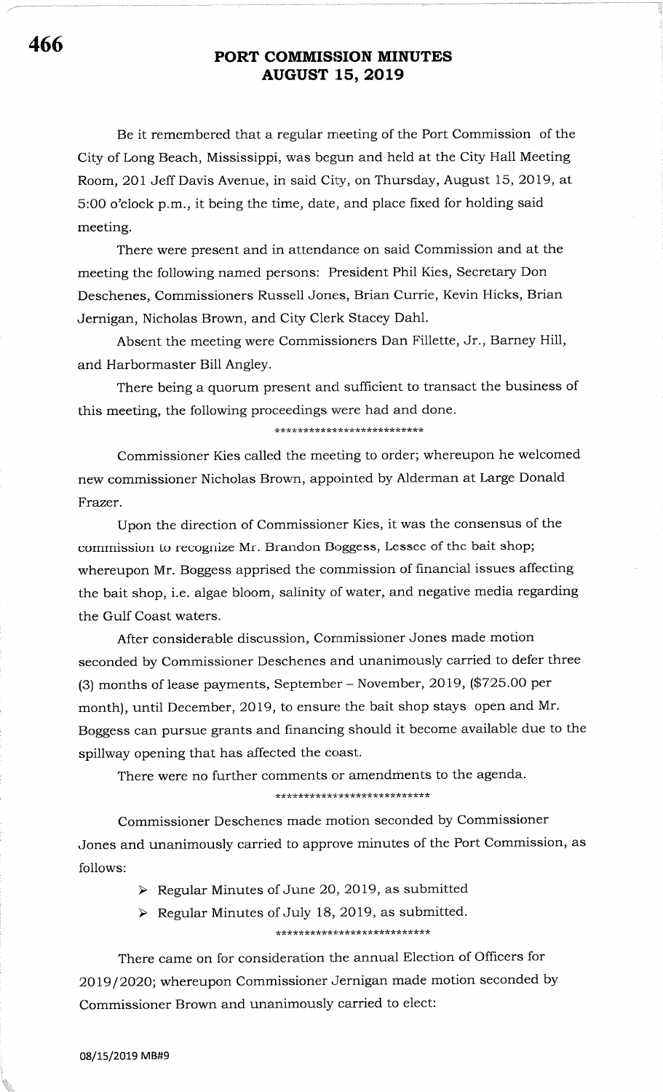## <sup>466</sup> PORT COMMISSION MINUTES AUGUST 15, 2019

Be it remembered that a regular meeting of the Port Commission of the City of Long Beach, Mississippi, was begun and held at the City Hall Meeting Room, 201 Jeff Davis Avenue, in said City, on Thursday, August 15, 2OI9, at 5:00 o'clock p.m., it being the time, date, and place fixed for holding said meeting.

There were present and in attendance on said Commission and at the meeting the following named persons: President Phil Kies, Secretary Don Deschenes, Commissioners Russell Jones, Brian Currie, Kevin Hicks, Brian Jernigan, Nicholas Brown, and City Clerk Stacey Dahl.

Absent the meeting were Commissioners Dan Fillette, Jr., Barney Hill, and Harbormaster Bill Angley.

There being a quorum present and sufficient to transact the business of this meeting, the following proceedings were had and done.

\*\*\*\*\*\*\*\*\*\*\*\*\*\*\*\*\*\*\*\*\*\*\*\*\*\*

Commissioner Kies called the meeting to order; whereupon he welcomed new commissioner Nicholas Brown, appointed by Alderman at Large Donald Frazer.

Upon the direction of Commissioner Kies, it was the consensus of the commission to recognize Mr. Brandon Boggess, Lessee of the bait shop; whereupon Mr. Boggess apprised the commission of financial issues affecting the bait shop, i.e. algae bloom, salinity of water, and negative media regarding the Gulf Coast waters.

After considerable discussion, Commissioner Jones made motion seconded by Commissioner Deschenes and unanimously carried to defer three (3) months of lease payments, September - November, 2OI9, (#725.00 per month), until December, 2019, to ensure the bait shop stays open and Mr. Boggess can pursue grants and financing should it become available due to the spillway opening that has affected the coast.

There were no further comments or amendments to the agenda.

\*\*\*\*\*\*\*\*\*\*\*\*\*\*\*\*\*\*\*\*\*\*\*\*\*\*

Commissioner Deschenes made motion seconded by Commissioner Jones and unanimously carried to approve minutes of the Port Commission, as follows:

- $\triangleright$  Regular Minutes of June 20, 2019, as submitted
- $\triangleright$  Regular Minutes of July 18, 2019, as submitted. ,(?k\*\* rk rkrhrrir\*\*\*\*

There came on for consideration the annual Election of Officers for 2019/2020; whereupon Commissioner Jernigan made motion seconded by Commissioner Brown and unanimously carried to elect:

08/15/2019 MB#9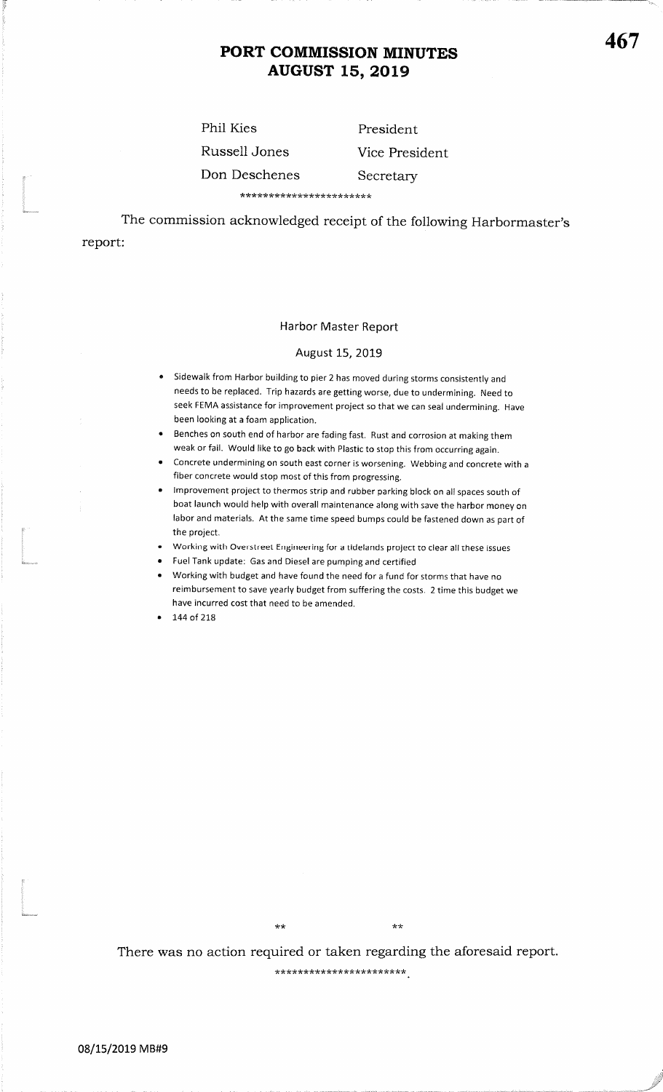### PORT COMMISSION MINUTESAUGUST 15, 2019

Phil KiesRussell JonesDon Deschenes

l<br>Maria ereo

.<br>.<br>Anharancas

.<br>Bibliotrama

PresidentVice PresidentSecretary

\*\*\*\*\*\*\*\*\*\*\*\*\*\*\*\*\*\*\*\*\*\*\*\*\*\*\*\*\*\*\*\*\*\*<br>The commission acknowledged receipt of the following Harbormaster's report

Harbor Master Report

#### August 15, 2019

- Sidewalk from Harbor building to pier 2 has moved during storms consistently and needs to be replaced. Trip hazards are getting worse, due to undermining. Need to seek FEMA assistance for improvement project so that we can seal undermining. Havebeen looking at a foam application.
- **Benches on south end of harbor are fading fast. Rust and corrosion at making them** weak or fail. would like to go back with plastic to stop this from occurring again.
- Concrete undermining on south east corner is worsening. Webbing and concrete with a fiber concrete would stop most of this from progressing.
- <sup>r</sup>lmprovement project to thermos strip and rubber parking block on all spaces south of boat launch would help with overall maintenance along with save the harbor money on labor and materials. At the same time speed bumps could be fastened down as part ofthe project.
- <sup>r</sup>Working with Overstreet Engineering for a tidelands project to clear all these issues
- Fuel Tank update: Gas and Diesel are pumping and certified
- **Working with budget and have found the need for a fund for storms that have no**  reimbursement to save yearly budget from suffering the costs. 2 time this budget wehave incurred cost that need to be amended.
- 144 of 218

There was no action required or taken regarding the aforesaid report.

\*\*

\*\*\*\*\*\*\*\*\*\*\*\*\*\*\*\*\*\*\*\*\*\*\*

 $\star\star$ 

467